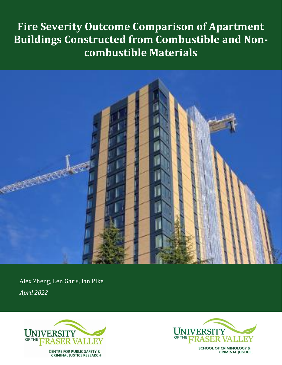# **Fire Severity Outcome Comparison of Apartment Buildings Constructed from Combustible and Noncombustible Materials**



Alex Zheng, Len Garis, Ian Pike *April 2022*





**SCHOOL OF CRIMINOLOGY & CRIMINAL JUSTICE**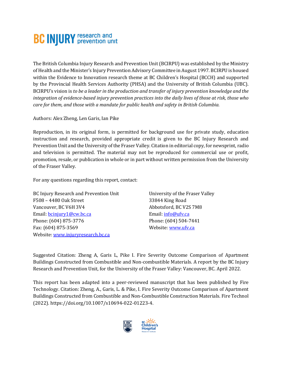# **BC INJURY** research and

The British Columbia Injury Research and Prevention Unit (BCIRPU) was established by the Ministry of Health and the Minister's Injury Prevention Advisory Committee in August 1997. BCIRPU is housed within the Evidence to Innovation research theme at BC Children's Hospital (BCCH) and supported by the Provincial Health Services Authority (PHSA) and the University of British Columbia (UBC). BCIRPU's vision is *to be a leader in the production and transfer of injury prevention knowledge and the integration of evidence-based injury prevention practices into the daily lives of those at risk, those who care for them, and those with a mandate for public health and safety in British Columbia.* 

Authors: Alex Zheng, Len Garis, Ian Pike

Reproduction, in its original form, is permitted for background use for private study, education instruction and research, provided appropriate credit is given to the BC Injury Research and Prevention Unit and the University of the Fraser Valley. Citation in editorial copy, for newsprint, radio and television is permitted. The material may not be reproduced for commercial use or profit, promotion, resale, or publication in whole or in part without written permission from the University of the Fraser Valley.

For any questions regarding this report, contact:

BC Injury Research and Prevention Unit F508 – 4480 Oak Street Vancouver, BC V6H 3V4 Email: [bcinjury1@cw.bc.ca](mailto:bcinjury1@cw.bc.ca) Phone: (604) 875-3776 Fax: (604) 875-3569 Website[: www.injuryresearch.bc.ca](http://www.injuryresearch.bc.ca/)

University of the Fraser Valley 33844 King Road Abbotsford, BC V2S 7M8 Email: [info@ufv.ca](mailto:info@ufv.ca) Phone: (604) 504-7441 Website[: www.ufv.ca](http://www.ufv.ca/)

Suggested Citation: Zheng A, Garis L, Pike I. Fire Severity Outcome Comparison of Apartment Buildings Constructed from Combustible and Non-combustible Materials. A report by the BC Injury Research and Prevention Unit, for the University of the Fraser Valley: Vancouver, BC. April 2022.

This report has been adapted into a peer-reviewed manuscript that has been published by Fire Technology. Citation: Zheng, A., Garis, L. & Pike, I. Fire Severity Outcome Comparison of Apartment Buildings Constructed from Combustible and Non-Combustible Construction Materials. Fire Technol (2022). https://doi.org/10.1007/s10694-022-01223-4.

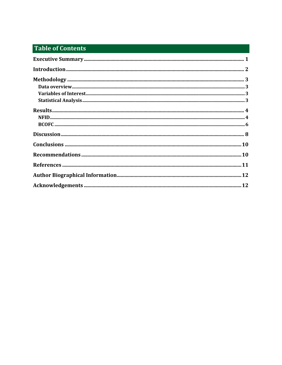# **Table of Contents**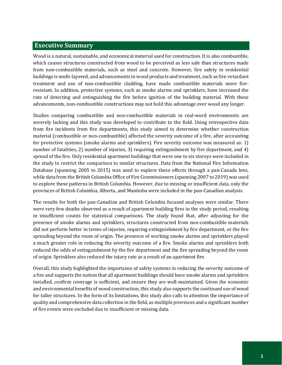# <span id="page-4-0"></span>**Executive Summary**

Wood is a natural, sustainable, and economical material used for construction. It is also combustible, which causes structures constructed from wood to be perceived as less safe than structures made from non-combustible materials, such as steel and concrete. However, fire safety in residential buildings is multi-layered, and advancements in wood products and treatment, such as fire-retardant treatment and use of non-combustible cladding, have made combustible materials more fireresistant. In addition, protective systems, such as smoke alarms and sprinklers, have increased the rate of detecting and extinguishing the fire before ignition of the building material. With these advancements, non-combustible constructions may not hold this advantage over wood any longer.

Studies comparing combustible and non-combustible materials in real-word environments are severely lacking and this study was developed to contribute to the field. Using retrospective data from fire incidents from fire departments, this study aimed to determine whether construction material (combustible or non-combustible) affected the severity outcome of a fire, after accounting for protective systems (smoke alarms and sprinklers). Fire severity outcome was measured as: 1) number of fatalities, 2) number of injuries, 3) requiring extinguishment by fire department, and 4) spread of the fire. Only residential apartment buildings that were one to six storeys were included in the study to restrict the comparison to similar structures. Data from the National Fire Information Database (spanning 2005 to 2015) was used to explore these effects through a pan-Canada lens, while data from the British Columbia Office of Fire Commissioners (spanning 2007 to 2019) was used to explore these patterns in British Columbia. However, due to missing or insufficient data, only the provinces of British Columbia, Alberta, and Manitoba were included in the pan-Canadian analysis.

The results for both the pan-Canadian and British Columbia focused analyses were similar. There were very few deaths observed as a result of apartment building fires in the study period, resulting in insufficient counts for statistical comparisons. The study found that, after adjusting for the presence of smoke alarms and sprinklers, structures constructed from non-combustible materials did not perform better in terms of injuries, requiring extinguishment by fire department, or the fire spreading beyond the room of origin. The presence of working smoke alarms and sprinklers played a much greater role in reducing the severity outcome of a fire. Smoke alarms and sprinklers both reduced the odds of extinguishment by the fire department and the fire spreading beyond the room of origin. Sprinklers also reduced the injury rate as a result of an apartment fire.

Overall, this study highlighted the importance of safety systems in reducing the severity outcome of a fire and supports the notion that all apartment buildings should have smoke alarms and sprinklers installed, confirm coverage is sufficient, and ensure they are well-maintained. Given the economic and environmental benefits of wood construction, this study also supports the continued use of wood for taller structures. In the form of its limitations, this study also calls to attention the importance of quality and comprehensive data collection in the field, as multiple provinces and a significant number of fire events were excluded due to insufficient or missing data.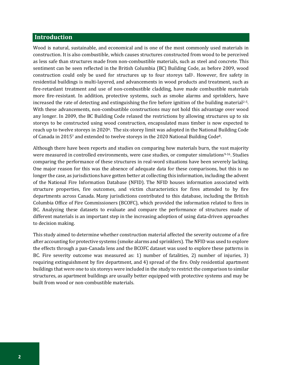### <span id="page-5-0"></span>**Introduction**

Wood is natural, sustainable, and economical and is one of the most commonly used materials in construction. It is also combustible, which causes structures constructed from wood to be perceived as less safe than structures made from non-combustible materials, such as steel and concrete. This sentiment can be seen reflected in the British Columbia (BC) Building Code, as before 2009, wood construction could only be used for structures up to four storeys tall1. However, fire safety in residential buildings is multi-layered, and advancements in wood products and treatment, such as fire-retardant treatment and use of non-combustible cladding, have made combustible materials more fire-resistant. In addition, protective systems, such as smoke alarms and sprinklers, have increased the rate of detecting and extinguishing the fire before ignition of the building material<sup>2-5</sup>. With these advancements, non-combustible constructions may not hold this advantage over wood any longer. In 2009, the BC Building Code relaxed the restrictions by allowing structures up to six storeys to be constructed using wood construction, encapsulated mass timber is now expected to reach up to twelve storeys in 2020<sup>6</sup>. The six-storey limit was adopted in the National Building Code of Canada in 2015<sup>7</sup> and extended to twelve storeys in the 2020 National Building Code8.

Although there have been reports and studies on comparing how materials burn, the vast majority were measured in controlled environments, were case studies, or computer simulations<sup>9-16</sup>. Studies comparing the performance of these structures in real-word situations have been severely lacking. One major reason for this was the absence of adequate data for these comparisons, but this is no longer the case, as jurisdictions have gotten better at collecting this information, including the advent of the National Fire Information Database (NFID). The NFID houses information associated with structure properties, fire outcomes, and victim characteristics for fires attended to by fire departments across Canada. Many jurisdictions contributed to this database, including the British Columbia Office of Fire Commissioners (BCOFC), which provided the information related to fires in BC. Analyzing these datasets to evaluate and compare the performance of structures made of different materials is an important step in the increasing adoption of using data-driven approaches to decision making.

This study aimed to determine whether construction material affected the severity outcome of a fire after accounting for protective systems (smoke alarms and sprinklers). The NFID was used to explore the effects through a pan-Canada lens and the BCOFC dataset was used to explore these patterns in BC. Fire severity outcome was measured as: 1) number of fatalities, 2) number of injuries, 3) requiring extinguishment by fire department, and 4) spread of the fire. Only residential apartment buildings that were one to six storeys were included in the study to restrict the comparison to similar structures, as apartment buildings are usually better equipped with protective systems and may be built from wood or non-combustible materials.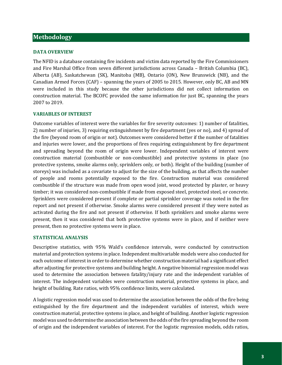# <span id="page-6-0"></span>**Methodology**

#### <span id="page-6-1"></span>**DATA OVERVIEW**

The NFID is a database containing fire incidents and victim data reported by the Fire Commissioners and Fire Marshal Office from seven different jurisdictions across Canada – British Columbia (BC), Alberta (AB), Saskatchewan (SK), Manitoba (MB), Ontario (ON), New Brunswick (NB), and the Canadian Armed Forces (CAF) – spanning the years of 2005 to 2015. However, only BC, AB and MN were included in this study because the other jurisdictions did not collect information on construction material. The BCOFC provided the same information for just BC, spanning the years 2007 to 2019.

#### <span id="page-6-2"></span>**VARIABLES OF INTEREST**

Outcome variables of interest were the variables for fire severity outcomes: 1) number of fatalities, 2) number of injuries, 3) requiring extinguishment by fire department (yes or no), and 4) spread of the fire (beyond room of origin or not). Outcomes were considered better if the number of fatalities and injuries were lower, and the proportions of fires requiring extinguishment by fire department and spreading beyond the room of origin were lower. Independent variables of interest were construction material (combustible or non-combustible) and protective systems in place (no protective systems, smoke alarms only, sprinklers only, or both). Height of the building (number of storeys) was included as a covariate to adjust for the size of the building, as that affects the number of people and rooms potentially exposed to the fire. Construction material was considered combustible if the structure was made from open wood joist, wood protected by plaster, or heavy timber; it was considered non-combustible if made from exposed steel, protected steel, or concrete. Sprinklers were considered present if complete or partial sprinkler coverage was noted in the fire report and not present if otherwise. Smoke alarms were considered present if they were noted as activated during the fire and not present if otherwise. If both sprinklers and smoke alarms were present, then it was considered that both protective systems were in place, and if neither were present, then no protective systems were in place.

#### <span id="page-6-3"></span>**STATISTICAL ANALYSIS**

Descriptive statistics, with 95% Wald's confidence intervals, were conducted by construction material and protection systems in place. Independent multivariable models were also conducted for each outcome of interest in order to determine whether construction material had a significant effect after adjusting for protective systems and building height. A negative binomial regression model was used to determine the association between fatality/injury rate and the independent variables of interest. The independent variables were construction material, protective systems in place, and height of building. Rate ratios, with 95% confidence limits, were calculated.

A logistic regression model was used to determine the association between the odds of the fire being extinguished by the fire department and the independent variables of interest, which were construction material, protective systems in place, and height of building. Another logistic regression model was used to determine the association between the odds of the fire spreading beyond the room of origin and the independent variables of interest. For the logistic regression models, odds ratios,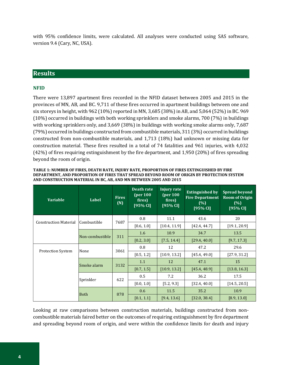with 95% confidence limits, were calculated. All analyses were conducted using SAS software, version 9.4 (Cary, NC, USA).

# <span id="page-7-0"></span>**Results**

### <span id="page-7-1"></span>**NFID**

There were 13,897 apartment fires recorded in the NFID dataset between 2005 and 2015 in the provinces of MN, AB, and BC. 9,711 of these fires occurred in apartment buildings between one and six storeys in height, with 962 (10%) reported in MN, 3,685 (38%) in AB, and 5,064 (52%) in BC. 969 (10%) occurred in buildings with both working sprinklers and smoke alarms, 700 (7%) in buildings with working sprinklers only, and 3,669 (38%) in buildings with working smoke alarms only, 7,687 (79%) occurred in buildings constructed from combustible materials, 311 (3%) occurred in buildings constructed from non-combustible materials, and 1,713 (18%) had unknown or missing data for construction material. These fires resulted in a total of 74 fatalities and 961 injuries, with 4,032 (42%) of fires requiring extinguishment by the fire department, and 1,950 (20%) of fires spreading beyond the room of origin.

| <b>Variable</b>              | Label       | <b>Fires</b><br>(N) | Death rate<br>(per 100<br>fires)<br>[95% CI] | <b>Injury rate</b><br>(per 100)<br>fires)<br>$[95%$ CI] | <b>Extinguished by</b><br><b>Fire Department</b><br>(% )<br>[95% CI] | <b>Spread beyond</b><br><b>Room of Origin</b><br>(% )<br>[95% CI] |      |      |
|------------------------------|-------------|---------------------|----------------------------------------------|---------------------------------------------------------|----------------------------------------------------------------------|-------------------------------------------------------------------|------|------|
| <b>Construction Material</b> | Combustible | 7687                | 0.8                                          | 11.1                                                    | 43.6                                                                 | 20                                                                |      |      |
|                              |             |                     | [0.6, 1.0]                                   | [10.4, 11.9]                                            | [42.4, 44.7]                                                         | [19.1, 20.9]                                                      |      |      |
|                              |             |                     | Non-combustible                              | 311                                                     | 1.6                                                                  | 10.9                                                              | 34.7 | 13.5 |
|                              |             |                     | [0.2, 3.0]                                   | [7.5, 14.4]                                             | [29.4, 40.0]                                                         | [9.7, 17.3]                                                       |      |      |
|                              | None        | 3061                | 0.8                                          | 12                                                      | 47.2                                                                 | 29.6                                                              |      |      |
| <b>Protection System</b>     |             |                     | [0.5, 1.2]                                   | [10.9, 13.2]                                            | [45.4, 49.0]                                                         | [27.9, 31.2]                                                      |      |      |
|                              | Smoke alarm | 3132                | 1.1                                          | 12                                                      | 47.1                                                                 | 15                                                                |      |      |
|                              |             |                     | [0.7, 1.5]                                   | [10.9, 13.2]                                            | [45.4, 48.9]                                                         | [13.8, 16.3]                                                      |      |      |
|                              | Sprinkler   | 622                 | 0.5                                          | 7.2                                                     | 36.2                                                                 | 17.5                                                              |      |      |
|                              |             |                     | [0.0, 1.0]                                   | [5.2, 9.3]                                              | [32.4, 40.0]                                                         | [14.5, 20.5]                                                      |      |      |
| <b>Both</b>                  |             | 0.6                 | 11.5                                         | 35.2                                                    | 10.9                                                                 |                                                                   |      |      |
|                              |             | 878                 | [0.1, 1.1]                                   | [9.4, 13.6]                                             | [32.0, 38.4]                                                         | [8.9, 13.0]                                                       |      |      |

**TABLE 1: NUMBER OF FIRES, DEATH RATE, INJURY RATE, PROPORTION OF FIRES EXTINGUISHED BY FIRE DEPARTMENT, AND PROPORTION OF FIRES THAT SPREAD BEYOND ROOM OF ORIGIN BY PROTECTION SYSTEM AND CONSTRUCTION MATERIAL IN BC, AB, AND MN BETWEEN 2005 AND 2015**

Looking at raw comparisons between construction materials, buildings constructed from noncombustible materials faired better on the outcomes of requiring extinguishment by fire department and spreading beyond room of origin, and were within the confidence limits for death and injury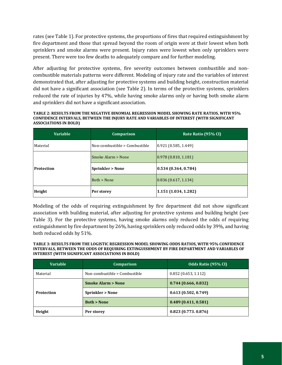rates (see Table 1). For protective systems, the proportions of fires that required extinguishment by fire department and those that spread beyond the room of origin were at their lowest when both sprinklers and smoke alarms were present. Injury rates were lowest when only sprinklers were present. There were too few deaths to adequately compare and for further modeling.

After adjusting for protective systems, fire severity outcomes between combustible and noncombustible materials patterns were different. Modeling of injury rate and the variables of interest demonstrated that, after adjusting for protective systems and building height, construction material did not have a significant association (see Table 2). In terms of the protective systems, sprinklers reduced the rate of injuries by 47%, while having smoke alarms only or having both smoke alarm and sprinklers did not have a significant association.

**TABLE 2: RESULTS FROM THE NEGATIVE BINOMIAL REGRESSION MODEL SHOWING RATE RATIOS, WITH 95% CONFIDENCE INTERVALS, BETWEEN THE INJURY RATE AND VARIABLES OF INTEREST (WITH SIGNIFICANT ASSOCIATIONS IN BOLD)**

| Variable          | Comparison                    | Rate Ratio (95% CI)   |  |
|-------------------|-------------------------------|-----------------------|--|
| Material          | Non-combustible > Combustible | [0.921(0.585, 1.449)] |  |
|                   | Smoke Alarm > None            | (0.978(0.810, 1.181)) |  |
| <b>Protection</b> | <b>Sprinkler &gt; None</b>    | (0.534(0.364, 0.784)) |  |
|                   | Both > None                   | (0.836(0.617, 1.134)) |  |
| Height            | Per storey                    | 1.151(1.034, 1.282)   |  |

Modeling of the odds of requiring extinguishment by fire department did not show significant association with building material, after adjusting for protective systems and building height (see Table 3). For the protective systems, having smoke alarms only reduced the odds of requiring extinguishment by fire department by 26%, having sprinklers only reduced odds by 39%, and having both reduced odds by 51%.

**TABLE 3: RESULTS FROM THE LOGISTIC REGRESSION MODEL SHOWING ODDS RATIOS, WITH 95% CONFIDENCE INTERVALS, BETWEEN THE ODDS OF REQUIRING EXTINGUISHMENT BY FIRE DEPARTMENT AND VARIABLES OF INTEREST (WITH SIGNIFICANT ASSOCIATIONS IN BOLD)**

| <b>Variable</b> | Comparison                    | Odds Ratio (95% CI) |  |
|-----------------|-------------------------------|---------------------|--|
| Material        | Non-combustible > Combustible | 0.852(0.653, 1.112) |  |
|                 | <b>Smoke Alarm &gt; None</b>  | 0.744(0.666, 0.832) |  |
| Protection      | <b>Sprinkler &gt; None</b>    | 0.613(0.502, 0.749) |  |
|                 | <b>Both &gt; None</b>         | 0.489(0.411, 0.581) |  |
| Height          | Per storey                    | 0.823(0.773.0.876)  |  |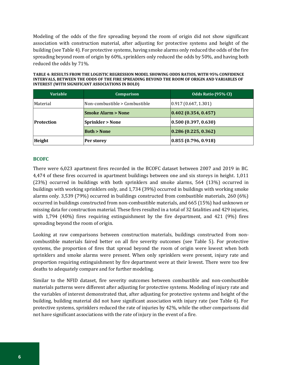Modeling of the odds of the fire spreading beyond the room of origin did not show significant association with construction material, after adjusting for protective systems and height of the building (see Table 4). For protective systems, having smoke alarms only reduced the odds of the fire spreading beyond room of origin by 60%, sprinklers only reduced the odds by 50%, and having both reduced the odds by 71%.

**TABLE 4: RESULTS FROM THE LOGISTIC REGRESSION MODEL SHOWING ODDS RATIOS, WITH 95% CONFIDENCE INTERVALS, BETWEEN THE ODDS OF THE FIRE SPREADING BEYOND THE ROOM OF ORIGIN AND VARIABLES OF INTEREST (WITH SIGNIFICANT ASSOCIATIONS IN BOLD)** 

| <b>Variable</b>   | Comparison                    | Odds Ratio (95% CI)                    |
|-------------------|-------------------------------|----------------------------------------|
| Material          | Non-combustible > Combustible | (0.917(0.647, 1.301))                  |
|                   | <b>Smoke Alarm &gt; None</b>  | 0.402(0.354, 0.457)                    |
| <b>Protection</b> | <b>Sprinkler &gt; None</b>    | (0.500(0.397, 0.630))                  |
|                   | <b>Both &gt; None</b>         | $\vert 0.286 \vert 0.225, 0.362 \vert$ |
| Height            | Per storey                    | (0.855(0.796, 0.918))                  |

#### <span id="page-9-0"></span>**BCOFC**

There were 6,023 apartment fires recorded in the BCOFC dataset between 2007 and 2019 in BC. 4,474 of these fires occurred in apartment buildings between one and six storeys in height. 1,011 (23%) occurred in buildings with both sprinklers and smoke alarms, 564 (13%) occurred in buildings with working sprinklers only, and 1,734 (39%) occurred in buildings with working smoke alarms only. 3,539 (79%) occurred in buildings constructed from combustible materials, 260 (6%) occurred in buildings constructed from non-combustible materials, and 665 (15%) had unknown or missing data for construction material. These fires resulted in a total of 32 fatalities and 429 injuries, with 1,794 (40%) fires requiring extinguishment by the fire department, and 421 (9%) fires spreading beyond the room of origin.

Looking at raw comparisons between construction materials, buildings constructed from noncombustible materials faired better on all fire severity outcomes (see Table 5). For protective systems, the proportion of fires that spread beyond the room of origin were lowest when both sprinklers and smoke alarms were present. When only sprinklers were present, injury rate and proportion requiring extinguishment by fire department were at their lowest. There were too few deaths to adequately compare and for further modeling.

Similar to the NFID dataset, fire severity outcomes between combustible and non-combustible materials patterns were different after adjusting for protective systems. Modeling of injury rate and the variables of interest demonstrated that, after adjusting for protective systems and height of the building, building material did not have significant association with injury rate (see Table 6). For protective systems, sprinklers reduced the rate of injuries by 42%, while the other comparisons did not have significant associations with the rate of injury in the event of a fire.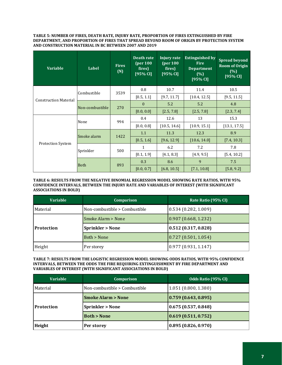#### **TABLE 5: NUMBER OF FIRES, DEATH RATE, INJURY RATE, PROPORTION OF FIRES EXTINGUISHED BY FIRE DEPARTMENT, AND PROPORTION OF FIRES THAT SPREAD BEYOND ROOM OF ORIGIN BY PROTECTION SYSTEM AND CONSTRUCTION MATERIAL IN BC BETWEEN 2007 AND 2019**

| <b>Variable</b>              | Label           | <b>Fires</b><br>(N) | Death rate<br>(per 100)<br>fires)<br>[95% CI] | Injury rate<br>(per 100)<br>fires)<br>[95% CI] | <b>Extinguished by</b><br><b>Fire</b><br><b>Department</b><br>(% )<br>[95% CI] | <b>Spread beyond</b><br><b>Room of Origin</b><br>(%)<br>[95% CI] |
|------------------------------|-----------------|---------------------|-----------------------------------------------|------------------------------------------------|--------------------------------------------------------------------------------|------------------------------------------------------------------|
|                              | Combustible     | 3539                | 0.8                                           | 10.7                                           | 11.4                                                                           | 10.5                                                             |
| <b>Construction Material</b> |                 |                     | [0.5, 1.1]                                    | [9.7, 11.7]                                    | [10.4, 12.5]                                                                   | [9.5, 11.5]                                                      |
|                              | Non-combustible | 270                 | $\theta$                                      | 5.2                                            | 5.2                                                                            | 4.8                                                              |
|                              |                 |                     | [0.0, 0.0]                                    | [2.5, 7.8]                                     | [2.5, 7.8]                                                                     | [2.3, 7.4]                                                       |
|                              | None            | 994                 | 0.4                                           | 12.6                                           | 13                                                                             | 15.3                                                             |
| <b>Protection System</b>     |                 |                     | [0.0, 0.8]                                    | [10.5, 14.6]                                   | [10.9, 15.1]                                                                   | [13.1, 17.5]                                                     |
|                              | Smoke alarm     | 1422                | 1.1                                           | 11.3                                           | 12.3                                                                           | 8.9                                                              |
|                              |                 |                     | [0.5, 1.6]                                    | [9.6, 12.9]                                    | [10.6, 14.0]                                                                   | [7.4, 10.3]                                                      |
|                              | Sprinkler       | 500                 | 1                                             | 6.2                                            | 7.2                                                                            | 7.8                                                              |
|                              |                 |                     | [0.1, 1.9]                                    | [4.1, 8.3]                                     | [4.9, 9.5]                                                                     | [5.4, 10.2]                                                      |
|                              | <b>Both</b>     | 893                 | 0.3                                           | 8.6                                            | 9                                                                              | 7.5                                                              |
|                              |                 |                     | [0.0, 0.7]                                    | [6.8, 10.5]                                    | [7.1, 10.8]                                                                    | [5.8, 9.2]                                                       |

#### **TABLE 6: RESULTS FROM THE NEGATIVE BINOMIAL REGRESSION MODEL SHOWING RATE RATIOS, WITH 95% CONFIDENCE INTERVALS, BETWEEN THE INJURY RATE AND VARIABLES OF INTEREST (WITH SIGNIFICANT ASSOCIATIONS IN BOLD)**

| <b>Variable</b>   | Comparison                    | Rate Ratio (95% CI)   |  |
|-------------------|-------------------------------|-----------------------|--|
| Material          | Non-combustible > Combustible | 0.534(0.282, 1.009)   |  |
|                   | Smoke Alarm > None            | (0.907(0.668, 1.232)) |  |
| <b>Protection</b> | <b>Sprinkler &gt; None</b>    | (0.512(0.317, 0.828)) |  |
|                   | Both > None                   | 0.727(0.501, 1.054)   |  |
| Height            | Per storey                    | 0.977(0.931, 1.147)   |  |

#### **TABLE 7: RESULTS FROM THE LOGISTIC REGRESSION MODEL SHOWING ODDS RATIOS, WITH 95% CONFIDENCE INTERVALS, BETWEEN THE ODDS THE FIRE REQUIRING EXTINGUISHMENT BY FIRE DEPARTMENT AND VARIABLES OF INTEREST (WITH SIGNIFICANT ASSOCIATIONS IN BOLD)**

| <b>Variable</b>   | Comparison                    | Odds Ratio (95% CI)   |  |
|-------------------|-------------------------------|-----------------------|--|
| Material          | Non-combustible > Combustible | 1.051(0.800, 1.380)   |  |
|                   | <b>Smoke Alarm &gt; None</b>  | (0.759(0.643, 0.895)) |  |
| <b>Protection</b> | <b>Sprinkler &gt; None</b>    | 0.675(0.537, 0.848)   |  |
|                   | <b>Both &gt; None</b>         | (0.619(0.511, 0.752)) |  |
| Height            | Per storey                    | 0.895(0.826, 0.970)   |  |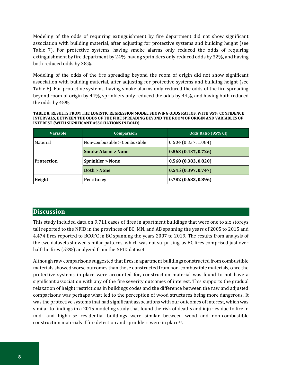Modeling of the odds of requiring extinguishment by fire department did not show significant association with building material, after adjusting for protective systems and building height (see Table 7). For protective systems, having smoke alarms only reduced the odds of requiring extinguishment by fire department by 24%, having sprinklers only reduced odds by 32%, and having both reduced odds by 38%.

Modeling of the odds of the fire spreading beyond the room of origin did not show significant association with building material, after adjusting for protective systems and building height (see Table 8). For protective systems, having smoke alarms only reduced the odds of the fire spreading beyond room of origin by 44%, sprinklers only reduced the odds by 44%, and having both reduced the odds by 45%.

**TABLE 8: RESULTS FROM THE LOGISTIC REGRESSION MODEL SHOWING ODDS RATIOS, WITH 95% CONFIDENCE INTERVALS, BETWEEN THE ODDS OF THE FIRE SPREADING BEYOND THE ROOM OF ORIGIN AND VARIABLES OF INTEREST (WITH SIGNIFICANT ASSOCIATIONS IN BOLD)** 

| <b>Variable</b>   | <b>Comparison</b>             | Odds Ratio (95% CI)   |
|-------------------|-------------------------------|-----------------------|
| Material          | Non-combustible > Combustible | 0.604(0.337, 1.084)   |
|                   | <b>Smoke Alarm &gt; None</b>  | (0.563(0.437, 0.726)) |
| <b>Protection</b> | <b>Sprinkler &gt; None</b>    | (0.560(0.383, 0.820)) |
|                   | <b>Both &gt; None</b>         | (0.545(0.397, 0.747)) |
| Height            | Per storey                    | (0.782(0.683, 0.896)) |

# <span id="page-11-0"></span>**Discussion**

This study included data on 9,711 cases of fires in apartment buildings that were one to six storeys tall reported to the NFID in the provinces of BC, MN, and AB spanning the years of 2005 to 2015 and 4,474 fires reported to BCOFC in BC spanning the years 2007 to 2019. The results from analysis of the two datasets showed similar patterns, which was not surprising, as BC fires comprised just over half the fires (52%) analyzed from the NFID dataset.

Although raw comparisons suggested that fires in apartment buildings constructed from combustible materials showed worse outcomes than those constructed from non-combustible materials, once the protective systems in place were accounted for, construction material was found to not have a significant association with any of the fire severity outcomes of interest. This supports the gradual relaxation of height restrictions in buildings codes and the difference between the raw and adjusted comparisons was perhaps what led to the perception of wood structures being more dangerous. It was the protective systems that had significant associations with our outcomes of interest, which was similar to findings in a 2015 modeling study that found the risk of deaths and injuries due to fire in mid- and high-rise residential buildings were similar between wood and non-combustible construction materials if fire detection and sprinklers were in place16.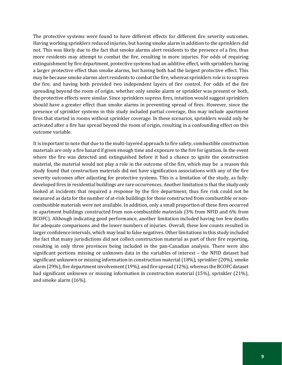The protective systems were found to have different effects for different fire severity outcomes. Having working sprinklers reduced injuries, but having smoke alarm in addition to the sprinklers did not. This was likely due to the fact that smoke alarms alert residents to the presence of a fire, thus more residents may attempt to combat the fire, resulting in more injuries. For odds of requiring extinguishment by fire department, protective systems had an additive effect, with sprinklers having a larger protective effect than smoke alarms, but having both had the largest protective effect. This may be because smoke alarms alert residents to combat the fire, whereas sprinklers role is to supress the fire, and having both provided two independent layers of fire control. For odds of the fire spreading beyond the room of origin, whether only smoke alarm or sprinkler was present or both, the protective effects were similar. Since sprinklers supress fires, intuition would suggest sprinklers should have a greater effect than smoke alarms in preventing spread of fires. However, since the presence of sprinkler systems in this study included partial coverage, this may include apartment fires that started in rooms without sprinkler coverage. In these scenarios, sprinklers would only be activated after a fire has spread beyond the room of origin, resulting in a confounding effect on this outcome variable.

It is important to note that due to the multi-layered approach to fire safety, combustible construction materials are only a fire hazard if given enough time and exposure to the fire for ignition. In the event where the fire was detected and extinguished before it had a chance to ignite the construction material, the material would not play a role in the outcome of the fire, which may be a reason this study found that construction materials did not have signification associations with any of the fire severity outcomes after adjusting for protective systems. This is a limitation of the study, as fullydeveloped fires in residential buildings are rare occurrences. Another limitation is that the study only looked at incidents that required a response by the fire department, thus fire risk could not be measured as data for the number of at-risk buildings for those constructed from combustible or noncombustible materials were not available. In addition, only a small proportion of these fires occurred in apartment buildings constructed from non-combustible materials (3% from NFID and 6% from BCOFC). Although indicating good performance, another limitation included having too few deaths for adequate comparisons and the lower numbers of injuries. Overall, these low counts resulted in larger confidence intervals, which may lead to false negatives. Other limitations in this study included the fact that many jurisdictions did not collect construction material as part of their fire reporting, resulting in only three provinces being included in the pan-Canadian analysis. There were also significant portions missing or unknown data in the variables of interest – the NFID dataset had significant unknown or missing information in construction material (18%), sprinkler (20%), smoke alarm (29%), fire department involvement (19%), and fire spread (12%), whereas the BCOFC dataset had significant unknown or missing information in construction material (15%), sprinkler (21%), and smoke alarm (16%).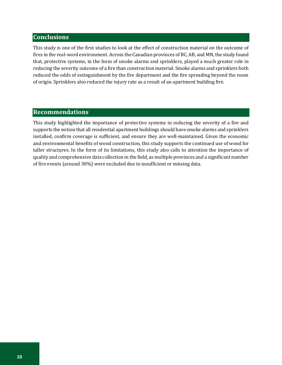# <span id="page-13-0"></span>**Conclusions**

This study is one of the first studies to look at the effect of construction material on the outcome of fires in the real-word environment. Across the Canadian provinces of BC, AB, and MN, the study found that, protective systems, in the form of smoke alarms and sprinklers, played a much greater role in reducing the severity outcome of a fire than construction material. Smoke alarms and sprinklers both reduced the odds of extinguishment by the fire department and the fire spreading beyond the room of origin. Sprinklers also reduced the injury rate as a result of an apartment building fire.

# <span id="page-13-1"></span>**Recommendations**

This study highlighted the importance of protective systems in reducing the severity of a fire and supports the notion that all residential apartment buildings should have smoke alarms and sprinklers installed, confirm coverage is sufficient, and ensure they are well-maintained. Given the economic and environmental benefits of wood construction, this study supports the continued use of wood for taller structures. In the form of its limitations, this study also calls to attention the importance of quality and comprehensive data collection in the field, as multiple provinces and a significant number of fire events (around 30%) were excluded due to insufficient or missing data.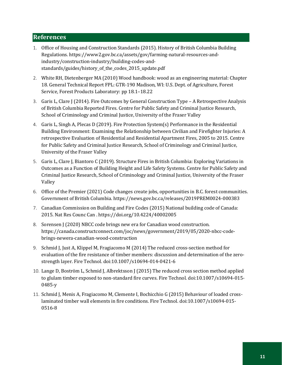# <span id="page-14-0"></span>**References**

- 1. Office of Housing and Construction Standards (2015). History of British Columbia Building Regulations. https://www2.gov.bc.ca/assets/gov/farming-natural-resources-andindustry/construction-industry/building-codes-andstandards/guides/history\_of\_the\_codes\_2015\_update.pdf
- 2. White RH, Dietenberger MA (2010) Wood handbook: wood as an engineering material: Chapter 18. General Technical Report FPL: GTR-190 Madison, WI: U.S. Dept. of Agriculture, Forest Service, Forest Products Laboratory: pp 18.1–18.22
- 3. Garis L, Clare J (2014). Fire Outcomes by General Construction Type A Retrospective Analysis of British Columbia Reported Fires. Centre for Public Safety and Criminal Justice Research, School of Criminology and Criminal Justice, University of the Fraser Valley
- 4. Garis L, Singh A, Plecas D (2019). Fire Protection System(s) Performance in the Residential Building Environment: Examining the Relationship between Civilian and Firefighter Injuries: A retrospective Evaluation of Residential and Residential Apartment Fires, 2005 to 2015. Centre for Public Safety and Criminal Justice Research, School of Criminology and Criminal Justice, University of the Fraser Valley
- 5. Garis L, Clare J, Biantoro C (2019). Structure Fires in British Columbia: Exploring Variations in Outcomes as a Function of Building Height and Life Safety Systems. Centre for Public Safety and Criminal Justice Research, School of Criminology and Criminal Justice, University of the Fraser Valley
- 6. Office of the Premier (2021) Code changes create jobs, opportunities in B.C. forest communities. Government of British Columbia. https://news.gov.bc.ca/releases/2019PREM0024-000383
- 7. Canadian Commission on Building and Fire Codes (2015) National building code of Canada: 2015. Nat Res Counc Can . https://doi.org/10.4224/40002005
- 8. Sorensen J (2020) NBCC code brings new era for Canadian wood construction. https://canada.constructconnect.com/joc/news/government/2019/05/2020-nbcc-codebrings-newera-canadian-wood-construction
- 9. Schmid J, Just A, Klippel M, Fragiacomo M (2014) The reduced cross-section method for evaluation of the fire resistance of timber members: discussion and determination of the zerostrength layer. Fire Technol. doi:10.1007/s10694-014-0421-6
- 10. Lange D, Boström L, Schmid J, Albrektsson J (2015) The reduced cross section method applied to glulam timber exposed to non-standard fire curves. Fire Technol. doi:10.1007/s10694-015- 0485-y
- 11. Schmid J, Menis A, Fragiacomo M, Clemente I, Bochicchio G (2015) Behaviour of loaded crosslaminated timber wall elements in fire conditions. Fire Technol. doi:10.1007/s10694-015-0516-8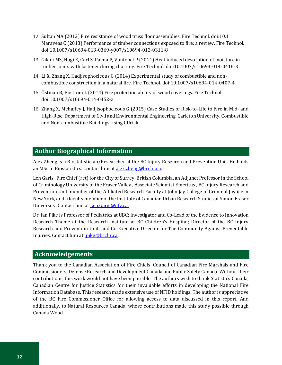- 12. Sultan MA (2012) Fire resistance of wood truss floor assemblies. Fire Technol. doi:10.1 Maraveas C (2013) Performance of timber connections exposed to fire: a review. Fire Technol. doi:10.1007/s10694-013-0369-y007/s10694-012-0311-8
- 13. Gilani MS, Hugi E, Carl S, Palma P, Vontobel P (2014) Heat induced desorption of moisture in timber joints with fastener during charring. Fire Technol. doi:10.1007/s10694-014-0416-3
- 14. Li X, Zhang X, Hadjisophocleous G (2014) Experimental study of combustible and noncombustible construction in a natural fire. Fire Technol. doi:10.1007/s10694-014-0407-4
- 15. Östman B, Boström L (2014) Fire protection ability of wood coverings. Fire Technol. doi:10.1007/s10694-014-0452-z
- 16. Zhang X, Mehaffey J, Hadjisophocleous G (2015) Case Studies of Risk-to-Life to Fire in Mid- and High-Rise. Department of Civil and Environmental Engineering, Carleton University, Combustible and Non-combustible Buildings Using CUrisk

## <span id="page-15-0"></span>**Author Biographical Information**

Alex Zheng is a Biostatistician/Researcher at the BC Injury Research and Prevention Unit. He holds an MSc in Biostatistics. Contact him a[t alex.zheng@bcchr.ca.](mailto:alex.zheng@bcchr.ca)

Len Garis , Fire Chief (ret) for the City of Surrey, British Columbia, an Adjunct Professor in the School of Criminology University of the Fraser Valley , Associate Scientist Emeritus , BC Injury Research and Prevention Unit member of the Affiliated Research Faculty at John Jay College of Criminal Justice in New York, and a faculty member of the Institute of Canadian Urban Research Studies at Simon Fraser University. Contact him at Len.Garis@ufv.ca.

Dr. Ian Pike is Professor of Pediatrics at UBC; Investigator and Co-Lead of the Evidence to Innovation Research Theme at the Research Institute at BC Children's Hospital; Director of the BC Injury Research and Prevention Unit, and Co-Executive Director for The Community Against Preventable Injuries. Contact him at *ipike@bcchr.ca.* 

# <span id="page-15-1"></span>**Acknowledgements**

Thank you to the Canadian Association of Fire Chiefs, Council of Canadian Fire Marshals and Fire Commissioners, Defense Research and Development Canada and Public Safety Canada. Without their contributions, this work would not have been possible. The authors wish to thank Statistics Canada, Canadian Centre for Justice Statistics for their invaluable efforts in developing the National Fire Information Database. This research made extensive use of NFID holdings. The author is appreciative of the BC Fire Commissioner Office for allowing access to data discussed in this report. And additionally, to Natural Resources Canada, whose contributions made this study possible through Canada Wood.